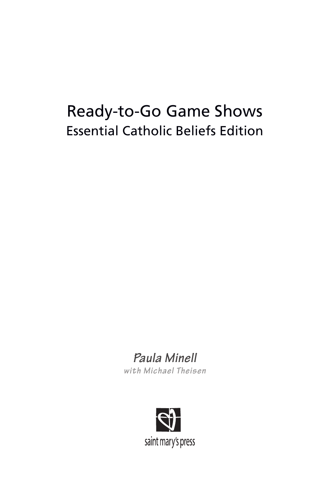# Ready-to-Go Game Shows Essential Catholic Beliefs Edition

# *Paula Minell*

*with Michael Theisen*

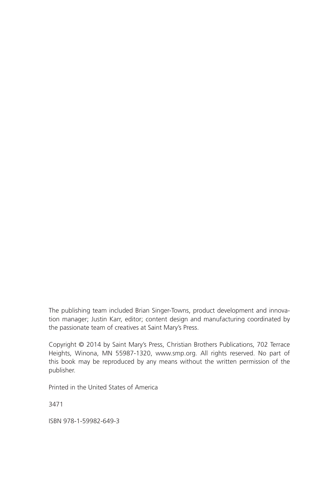The publishing team included Brian Singer-Towns, product development and innovation manager; Justin Karr, editor; content design and manufacturing coordinated by the passionate team of creatives at Saint Mary's Press.

Copyright © 2014 by Saint Mary's Press, Christian Brothers Publications, 702 Terrace Heights, Winona, MN 55987-1320, www.smp.org. All rights reserved. No part of this book may be reproduced by any means without the written permission of the publisher.

Printed in the United States of America

3471

ISBN 978-1-59982-649-3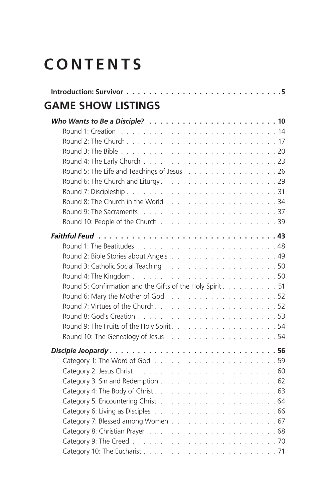# **CONTENTS**

| <b>GAME SHOW LISTINGS</b>                                  |  |
|------------------------------------------------------------|--|
|                                                            |  |
|                                                            |  |
|                                                            |  |
|                                                            |  |
|                                                            |  |
|                                                            |  |
|                                                            |  |
|                                                            |  |
|                                                            |  |
|                                                            |  |
|                                                            |  |
|                                                            |  |
|                                                            |  |
|                                                            |  |
|                                                            |  |
|                                                            |  |
| Round 5: Confirmation and the Gifts of the Holy Spirit. 51 |  |
|                                                            |  |
|                                                            |  |
|                                                            |  |
|                                                            |  |
|                                                            |  |
|                                                            |  |
|                                                            |  |
|                                                            |  |
|                                                            |  |
|                                                            |  |
|                                                            |  |
|                                                            |  |
|                                                            |  |
|                                                            |  |
|                                                            |  |
|                                                            |  |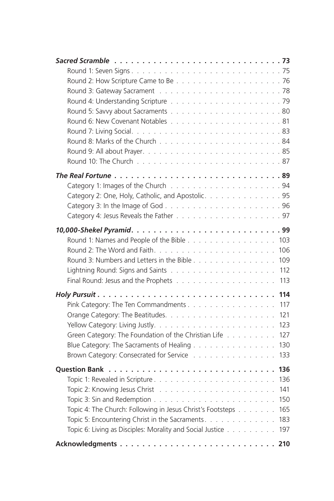| Category 2: One, Holy, Catholic, and Apostolic. 95                |
|-------------------------------------------------------------------|
|                                                                   |
|                                                                   |
|                                                                   |
|                                                                   |
| Round 1: Names and People of the Bible 103                        |
| 106                                                               |
| Round 3: Numbers and Letters in the Bible<br>109                  |
| 112                                                               |
| 113                                                               |
| 114                                                               |
| 117<br>Pink Category: The Ten Commandments                        |
| 121                                                               |
| 123                                                               |
| Green Category: The Foundation of the Christian Life<br>127       |
| Blue Category: The Sacraments of Healing<br>130                   |
| Brown Category: Consecrated for Service<br>133                    |
| 136                                                               |
| 136                                                               |
| 141                                                               |
| 150                                                               |
| Topic 4: The Church: Following in Jesus Christ's Footsteps<br>165 |
| Topic 5: Encountering Christ in the Sacraments.<br>183            |
| Topic 6: Living as Disciples: Morality and Social Justice<br>197  |
|                                                                   |
| 210                                                               |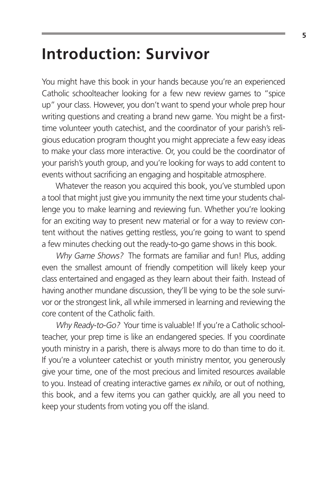## **Introduction: Survivor**

You might have this book in your hands because you're an experienced Catholic schoolteacher looking for a few new review games to "spice up" your class. However, you don't want to spend your whole prep hour writing questions and creating a brand new game. You might be a firsttime volunteer youth catechist, and the coordinator of your parish's religious education program thought you might appreciate a few easy ideas to make your class more interactive. Or, you could be the coordinator of your parish's youth group, and you're looking for ways to add content to events without sacrificing an engaging and hospitable atmosphere.

Whatever the reason you acquired this book, you've stumbled upon a tool that might just give you immunity the next time your students challenge you to make learning and reviewing fun. Whether you're looking for an exciting way to present new material or for a way to review content without the natives getting restless, you're going to want to spend a few minutes checking out the ready-to-go game shows in this book.

Why Game Shows? The formats are familiar and fun! Plus, adding even the smallest amount of friendly competition will likely keep your class entertained and engaged as they learn about their faith. Instead of having another mundane discussion, they'll be vying to be the sole survivor or the strongest link, all while immersed in learning and reviewing the core content of the Catholic faith.

Why Ready-to-Go? Your time is valuable! If you're a Catholic schoolteacher, your prep time is like an endangered species. If you coordinate youth ministry in a parish, there is always more to do than time to do it. If you're a volunteer catechist or youth ministry mentor, you generously give your time, one of the most precious and limited resources available to you. Instead of creating interactive games ex nihilo, or out of nothing, this book, and a few items you can gather quickly, are all you need to keep your students from voting you off the island.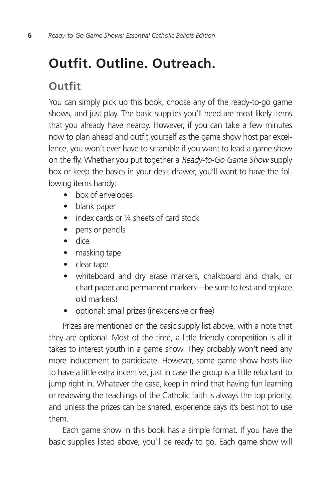## **Outfit. Outline. Outreach.**

### **Outfit**

You can simply pick up this book, choose any of the ready-to-go game shows, and just play. The basic supplies you'll need are most likely items that you already have nearby. However, if you can take a few minutes now to plan ahead and outfit yourself as the game show host par excellence, you won't ever have to scramble if you want to lead a game show on the fly. Whether you put together a Ready-to-Go Game Show supply box or keep the basics in your desk drawer, you'll want to have the following items handy:

- box of envelopes
- blank paper
- index cards or 1/4 sheets of card stock
- pens or pencils
- dice
- masking tape
- clear tape
- whiteboard and dry erase markers, chalkboard and chalk, or chart paper and permanent markers—be sure to test and replace old markers!
- optional: small prizes (inexpensive or free)

Prizes are mentioned on the basic supply list above, with a note that they are optional. Most of the time, a little friendly competition is all it takes to interest youth in a game show. They probably won't need any more inducement to participate. However, some game show hosts like to have a little extra incentive, just in case the group is a little reluctant to jump right in. Whatever the case, keep in mind that having fun learning or reviewing the teachings of the Catholic faith is always the top priority, and unless the prizes can be shared, experience says it's best not to use them.

Each game show in this book has a simple format. If you have the basic supplies listed above, you'll be ready to go. Each game show will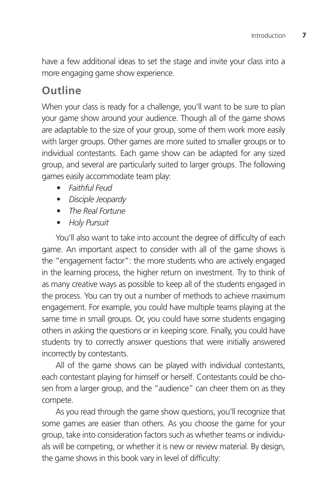have a few additional ideas to set the stage and invite your class into a more engaging game show experience.

### **Outline**

When your class is ready for a challenge, you'll want to be sure to plan your game show around your audience. Though all of the game shows are adaptable to the size of your group, some of them work more easily with larger groups. Other games are more suited to smaller groups or to individual contestants. Each game show can be adapted for any sized group, and several are particularly suited to larger groups. The following games easily accommodate team play:

- *• Faithful Feud*
- *• Disciple Jeopardy*
- *• The Real Fortune*
- *• Holy Pursuit*

You'll also want to take into account the degree of difficulty of each game. An important aspect to consider with all of the game shows is the "engagement factor": the more students who are actively engaged in the learning process, the higher return on investment. Try to think of as many creative ways as possible to keep all of the students engaged in the process. You can try out a number of methods to achieve maximum engagement. For example, you could have multiple teams playing at the same time in small groups. Or, you could have some students engaging others in asking the questions or in keeping score. Finally, you could have students try to correctly answer questions that were initially answered incorrectly by contestants.

All of the game shows can be played with individual contestants, each contestant playing for himself or herself. Contestants could be chosen from a larger group, and the "audience" can cheer them on as they compete.

As you read through the game show questions, you'll recognize that some games are easier than others. As you choose the game for your group, take into consideration factors such as whether teams or individuals will be competing, or whether it is new or review material. By design, the game shows in this book vary in level of difficulty: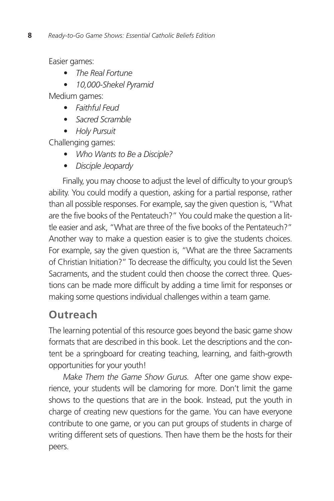Easier games:

- *• The Real Fortune*
- *• 10,000-Shekel Pyramid*

Medium games:

- *• Faithful Feud*
- *• Sacred Scramble*
- *• Holy Pursuit*

Challenging games:

- *• Who Wants to Be a Disciple?*
- *• Disciple Jeopardy*

Finally, you may choose to adjust the level of difficulty to your group's ability. You could modify a question, asking for a partial response, rather than all possible responses. For example, say the given question is, "What are the five books of the Pentateuch?" You could make the question a little easier and ask, "What are three of the five books of the Pentateuch?" Another way to make a question easier is to give the students choices. For example, say the given question is, "What are the three Sacraments of Christian Initiation?" To decrease the difficulty, you could list the Seven Sacraments, and the student could then choose the correct three. Questions can be made more difficult by adding a time limit for responses or making some questions individual challenges within a team game.

### **Outreach**

The learning potential of this resource goes beyond the basic game show formats that are described in this book. Let the descriptions and the content be a springboard for creating teaching, learning, and faith-growth opportunities for your youth!

Make Them the Game Show Gurus. After one game show experience, your students will be clamoring for more. Don't limit the game shows to the questions that are in the book. Instead, put the youth in charge of creating new questions for the game. You can have everyone contribute to one game, or you can put groups of students in charge of writing different sets of questions. Then have them be the hosts for their peers.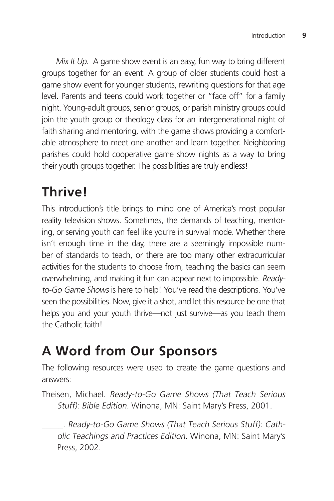Mix It Up. A game show event is an easy, fun way to bring different groups together for an event. A group of older students could host a game show event for younger students, rewriting questions for that age level. Parents and teens could work together or "face off" for a family night. Young-adult groups, senior groups, or parish ministry groups could join the youth group or theology class for an intergenerational night of faith sharing and mentoring, with the game shows providing a comfortable atmosphere to meet one another and learn together. Neighboring parishes could hold cooperative game show nights as a way to bring their youth groups together. The possibilities are truly endless!

## **Thrive!**

This introduction's title brings to mind one of America's most popular reality television shows. Sometimes, the demands of teaching, mentoring, or serving youth can feel like you're in survival mode. Whether there isn't enough time in the day, there are a seemingly impossible number of standards to teach, or there are too many other extracurricular activities for the students to choose from, teaching the basics can seem overwhelming, and making it fun can appear next to impossible. Readyto-Go Game Shows is here to help! You've read the descriptions. You've seen the possibilities. Now, give it a shot, and let this resource be one that helps you and your youth thrive—not just survive—as you teach them the Catholic faith!

## **A Word from Our Sponsors**

The following resources were used to create the game questions and answers:

Theisen, Michael. Ready-to-Go Game Shows (That Teach Serious Stuff): Bible Edition. Winona, MN: Saint Mary's Press, 2001.

\_\_\_\_\_. Ready-to-Go Game Shows (That Teach Serious Stuff): Catholic Teachings and Practices Edition. Winona, MN: Saint Mary's Press, 2002.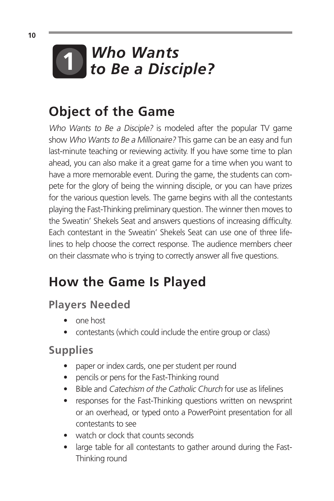

## **Object of the Game**

Who Wants to Be a Disciple? is modeled after the popular TV game show Who Wants to Be a Millionaire? This game can be an easy and fun last-minute teaching or reviewing activity. If you have some time to plan ahead, you can also make it a great game for a time when you want to have a more memorable event. During the game, the students can compete for the glory of being the winning disciple, or you can have prizes for the various question levels. The game begins with all the contestants playing the Fast-Thinking preliminary question. The winner then moves to the Sweatin' Shekels Seat and answers questions of increasing difficulty. Each contestant in the Sweatin' Shekels Seat can use one of three lifelines to help choose the correct response. The audience members cheer on their classmate who is trying to correctly answer all five questions.

# **How the Game Is Played**

### **Players Needed**

- one host
- contestants (which could include the entire group or class)

### **Supplies**

- paper or index cards, one per student per round
- pencils or pens for the Fast-Thinking round
- Bible and Catechism of the Catholic Church for use as lifelines
- responses for the Fast-Thinking questions written on newsprint or an overhead, or typed onto a PowerPoint presentation for all contestants to see
- watch or clock that counts seconds
- large table for all contestants to gather around during the Fast-Thinking round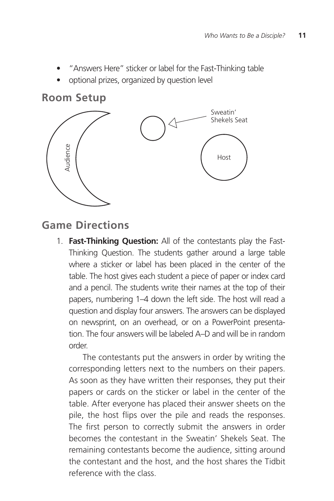- "Answers Here" sticker or label for the Fast-Thinking table
- optional prizes, organized by question level

#### **Room Setup**



#### **Game Directions**

1. **Fast-Thinking Question:** All of the contestants play the Fast-Thinking Question. The students gather around a large table where a sticker or label has been placed in the center of the table. The host gives each student a piece of paper or index card and a pencil. The students write their names at the top of their papers, numbering 1–4 down the left side. The host will read a question and display four answers. The answers can be displayed on newsprint, on an overhead, or on a PowerPoint presentation. The four answers will be labeled A–D and will be in random order.

The contestants put the answers in order by writing the corresponding letters next to the numbers on their papers. As soon as they have written their responses, they put their papers or cards on the sticker or label in the center of the table. After everyone has placed their answer sheets on the pile, the host flips over the pile and reads the responses. The first person to correctly submit the answers in order becomes the contestant in the Sweatin' Shekels Seat. The remaining contestants become the audience, sitting around the contestant and the host, and the host shares the Tidbit reference with the class.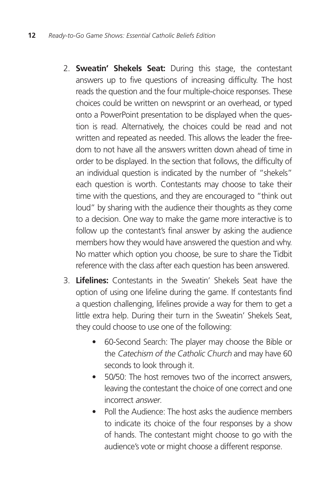- 2. **Sweatin' Shekels Seat:** During this stage, the contestant answers up to five questions of increasing difficulty. The host reads the question and the four multiple-choice responses. These choices could be written on newsprint or an overhead, or typed onto a PowerPoint presentation to be displayed when the question is read. Alternatively, the choices could be read and not written and repeated as needed. This allows the leader the freedom to not have all the answers written down ahead of time in order to be displayed. In the section that follows, the difficulty of an individual question is indicated by the number of "shekels" each question is worth. Contestants may choose to take their time with the questions, and they are encouraged to "think out loud" by sharing with the audience their thoughts as they come to a decision. One way to make the game more interactive is to follow up the contestant's final answer by asking the audience members how they would have answered the question and why. No matter which option you choose, be sure to share the Tidbit reference with the class after each question has been answered.
- 3. **Lifelines:** Contestants in the Sweatin' Shekels Seat have the option of using one lifeline during the game. If contestants find a question challenging, lifelines provide a way for them to get a little extra help. During their turn in the Sweatin' Shekels Seat, they could choose to use one of the following:
	- 60-Second Search: The player may choose the Bible or the Catechism of the Catholic Church and may have 60 seconds to look through it.
	- 50/50: The host removes two of the incorrect answers, leaving the contestant the choice of one correct and one incorrect answer.
	- Poll the Audience: The host asks the audience members to indicate its choice of the four responses by a show of hands. The contestant might choose to go with the audience's vote or might choose a different response.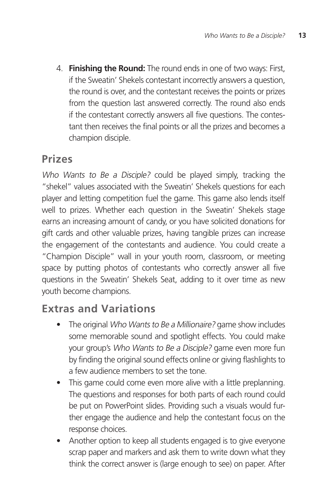4. **Finishing the Round:** The round ends in one of two ways: First, if the Sweatin' Shekels contestant incorrectly answers a question, the round is over, and the contestant receives the points or prizes from the question last answered correctly. The round also ends if the contestant correctly answers all five questions. The contestant then receives the final points or all the prizes and becomes a champion disciple.

### **Prizes**

Who Wants to Be a Disciple? could be played simply, tracking the "shekel" values associated with the Sweatin' Shekels questions for each player and letting competition fuel the game. This game also lends itself well to prizes. Whether each question in the Sweatin' Shekels stage earns an increasing amount of candy, or you have solicited donations for gift cards and other valuable prizes, having tangible prizes can increase the engagement of the contestants and audience. You could create a "Champion Disciple" wall in your youth room, classroom, or meeting space by putting photos of contestants who correctly answer all five questions in the Sweatin' Shekels Seat, adding to it over time as new youth become champions.

### **Extras and Variations**

- The original Who Wants to Be a Millionaire? game show includes some memorable sound and spotlight effects. You could make your group's Who Wants to Be a Disciple? game even more fun by finding the original sound effects online or giving flashlights to a few audience members to set the tone.
- This game could come even more alive with a little preplanning. The questions and responses for both parts of each round could be put on PowerPoint slides. Providing such a visuals would further engage the audience and help the contestant focus on the response choices.
- Another option to keep all students engaged is to give everyone scrap paper and markers and ask them to write down what they think the correct answer is (large enough to see) on paper. After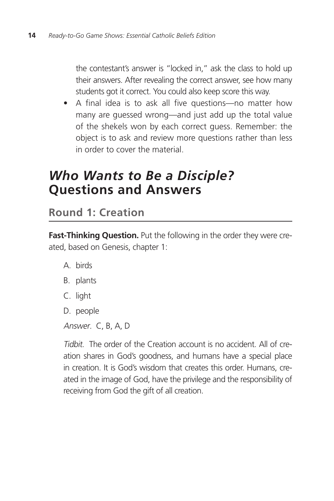the contestant's answer is "locked in," ask the class to hold up their answers. After revealing the correct answer, see how many students got it correct. You could also keep score this way.

• A final idea is to ask all five questions—no matter how many are guessed wrong—and just add up the total value of the shekels won by each correct guess. Remember: the object is to ask and review more questions rather than less in order to cover the material.

## *Who Wants to Be a Disciple?* **Questions and Answers**

**Round 1: Creation**

**Fast-Thinking Question.** Put the following in the order they were created, based on Genesis, chapter 1:

- A. birds
- B. plants
- C. light
- D. people
- Answer. C, B, A, D

Tidbit. The order of the Creation account is no accident. All of creation shares in God's goodness, and humans have a special place in creation. It is God's wisdom that creates this order. Humans, created in the image of God, have the privilege and the responsibility of receiving from God the gift of all creation.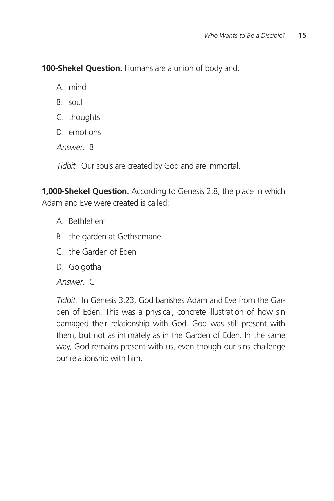**100-Shekel Question.** Humans are a union of body and:

A. mind

B. soul

C. thoughts

D. emotions

Answer. B

Tidbit. Our souls are created by God and are immortal.

**1,000-Shekel Question.** According to Genesis 2:8, the place in which Adam and Eve were created is called:

- A. Bethlehem
- B. the garden at Gethsemane
- C. the Garden of Eden
- D. Golgotha

Answer. C

Tidbit. In Genesis 3:23, God banishes Adam and Eve from the Garden of Eden. This was a physical, concrete illustration of how sin damaged their relationship with God. God was still present with them, but not as intimately as in the Garden of Eden. In the same way, God remains present with us, even though our sins challenge our relationship with him.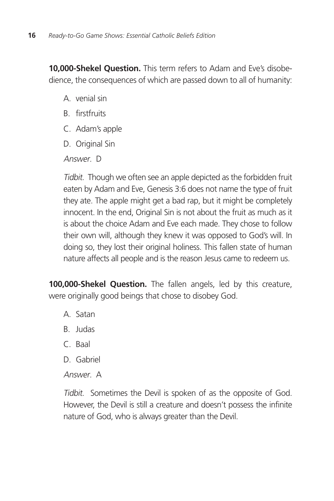**10,000-Shekel Question.** This term refers to Adam and Eve's disobedience, the consequences of which are passed down to all of humanity:

- A. venial sin
- B. firstfruits
- C. Adam's apple
- D. Original Sin

Answer D

Tidbit. Though we often see an apple depicted as the forbidden fruit eaten by Adam and Eve, Genesis 3:6 does not name the type of fruit they ate. The apple might get a bad rap, but it might be completely innocent. In the end, Original Sin is not about the fruit as much as it is about the choice Adam and Eve each made. They chose to follow their own will, although they knew it was opposed to God's will. In doing so, they lost their original holiness. This fallen state of human nature affects all people and is the reason Jesus came to redeem us.

**100,000-Shekel Question.** The fallen angels, led by this creature, were originally good beings that chose to disobey God.

- A. Satan
- B. Judas
- C. Baal
- D. Gabriel
- Answer. A

Tidbit. Sometimes the Devil is spoken of as the opposite of God. However, the Devil is still a creature and doesn't possess the infinite nature of God, who is always greater than the Devil.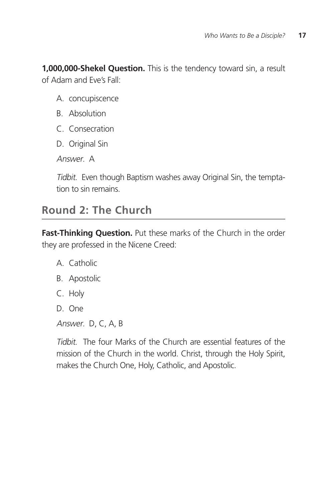**1,000,000-Shekel Question.** This is the tendency toward sin, a result of Adam and Eve's Fall:

- A. concupiscence
- B. Absolution
- C. Consecration
- D. Original Sin

Answer. A

Tidbit. Even though Baptism washes away Original Sin, the temptation to sin remains.

### **Round 2: The Church**

**Fast-Thinking Question.** Put these marks of the Church in the order they are professed in the Nicene Creed:

- A. Catholic
- B. Apostolic
- C. Holy
- D. One
- Answer. D, C, A, B

Tidbit. The four Marks of the Church are essential features of the mission of the Church in the world. Christ, through the Holy Spirit, makes the Church One, Holy, Catholic, and Apostolic.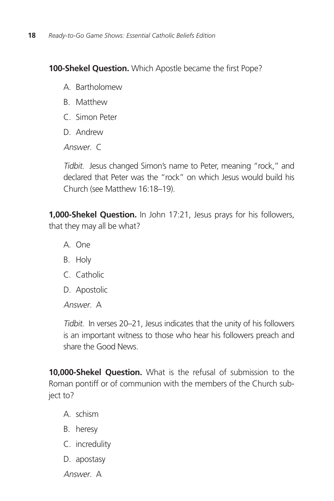**100-Shekel Question.** Which Apostle became the first Pope?

- A. Bartholomew
- B. Matthew
- C. Simon Peter
- D. Andrew

Answer C

Tidbit. Jesus changed Simon's name to Peter, meaning "rock," and declared that Peter was the "rock" on which Jesus would build his Church (see Matthew 16:18–19).

**1,000-Shekel Question.** In John 17:21, Jesus prays for his followers, that they may all be what?

- A. One
- B. Holy
- C. Catholic
- D. Apostolic

Answer. A

Tidbit. In verses 20–21, Jesus indicates that the unity of his followers is an important witness to those who hear his followers preach and share the Good News.

**10,000-Shekel Question.** What is the refusal of submission to the Roman pontiff or of communion with the members of the Church subject to?

- A. schism
- B. heresy
- C. incredulity
- D. apostasy

Answer. A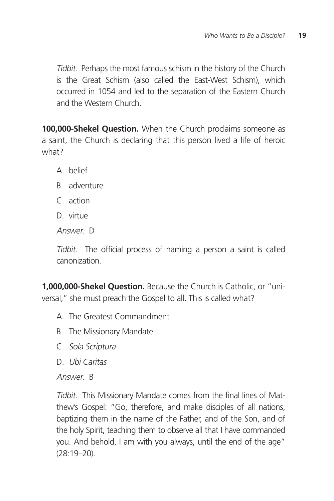Tidbit. Perhaps the most famous schism in the history of the Church is the Great Schism (also called the East-West Schism), which occurred in 1054 and led to the separation of the Eastern Church and the Western Church.

**100,000-Shekel Question.** When the Church proclaims someone as a saint, the Church is declaring that this person lived a life of heroic what?

- A. belief
- B. adventure
- C. action
- D. virtue

Answer D

Tidbit. The official process of naming a person a saint is called canonization.

**1,000,000-Shekel Question.** Because the Church is Catholic, or "universal," she must preach the Gospel to all. This is called what?

- A. The Greatest Commandment
- B. The Missionary Mandate
- C. Sola Scriptura
- D. Ubi Caritas

Answer. B

Tidbit. This Missionary Mandate comes from the final lines of Matthew's Gospel: "Go, therefore, and make disciples of all nations, baptizing them in the name of the Father, and of the Son, and of the holy Spirit, teaching them to observe all that I have commanded you. And behold, I am with you always, until the end of the age" (28:19–20).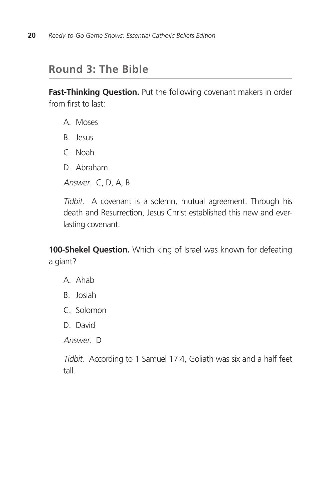### **Round 3: The Bible**

Fast-Thinking Question. Put the following covenant makers in order from first to last:

- A. Moses
- B. Jesus
- C. Noah
- D. Abraham
- Answer. C, D, A, B

Tidbit. A covenant is a solemn, mutual agreement. Through his death and Resurrection, Jesus Christ established this new and everlasting covenant.

**100-Shekel Question.** Which king of Israel was known for defeating a giant?

- A. Ahab
- B. Josiah
- C. Solomon
- D. David

Answer. D

Tidbit. According to 1 Samuel 17:4, Goliath was six and a half feet tall.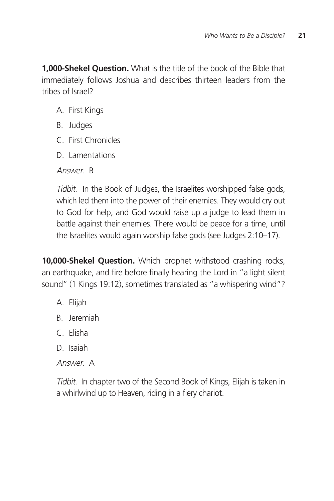**1,000-Shekel Question.** What is the title of the book of the Bible that immediately follows Joshua and describes thirteen leaders from the tribes of Israel?

- A. First Kings
- B. Judges
- C. First Chronicles
- D. Lamentations

Answer. B

Tidbit. In the Book of Judges, the Israelites worshipped false gods, which led them into the power of their enemies. They would cry out to God for help, and God would raise up a judge to lead them in battle against their enemies. There would be peace for a time, until the Israelites would again worship false gods (see Judges 2:10–17).

**10,000-Shekel Question.** Which prophet withstood crashing rocks, an earthquake, and fire before finally hearing the Lord in "a light silent sound" (1 Kings 19:12), sometimes translated as "a whispering wind"?

- A. Elijah
- B. Jeremiah
- C. Elisha
- D. Isaiah

Answer. A

Tidbit. In chapter two of the Second Book of Kings, Elijah is taken in a whirlwind up to Heaven, riding in a fiery chariot.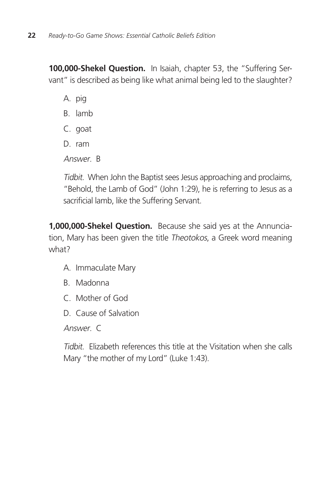**100,000-Shekel Question.** In Isaiah, chapter 53, the "Suffering Servant" is described as being like what animal being led to the slaughter?

A. pig

- B. lamb
- C. goat
- D. ram

Answer R

Tidbit. When John the Baptist sees Jesus approaching and proclaims, "Behold, the Lamb of God" (John 1:29), he is referring to Jesus as a sacrificial lamb, like the Suffering Servant.

**1,000,000-Shekel Question.** Because she said yes at the Annunciation, Mary has been given the title Theotokos, a Greek word meaning what?

- A. Immaculate Mary
- B. Madonna
- C. Mother of God
- D. Cause of Salvation

Answer. C

Tidbit. Elizabeth references this title at the Visitation when she calls Mary "the mother of my Lord" (Luke 1:43).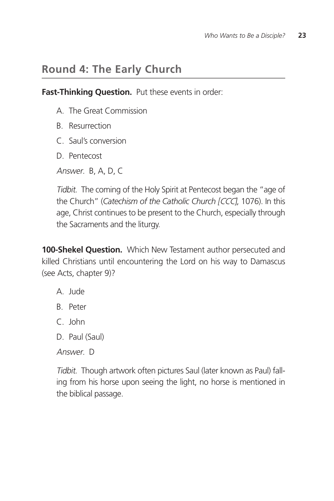### **Round 4: The Early Church**

**Fast-Thinking Question.** Put these events in order:

- A. The Great Commission
- B. Resurrection
- C. Saul's conversion
- D. Pentecost
- Answer. B, A, D, C

Tidbit. The coming of the Holy Spirit at Pentecost began the "age of the Church" (*Catechism of the Catholic Church [CCC*], 1076). In this age, Christ continues to be present to the Church, especially through the Sacraments and the liturgy.

**100-Shekel Question.** Which New Testament author persecuted and killed Christians until encountering the Lord on his way to Damascus (see Acts, chapter 9)?

- A. Jude
- B. Peter
- C. John
- D. Paul (Saul)

Answer. D

Tidbit. Though artwork often pictures Saul (later known as Paul) falling from his horse upon seeing the light, no horse is mentioned in the biblical passage.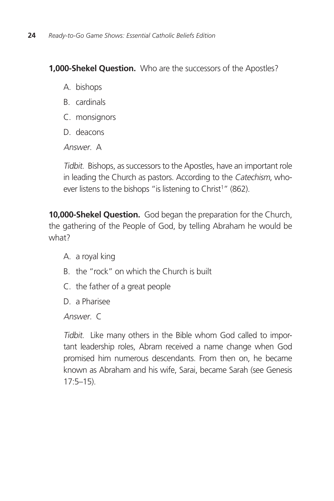#### **1,000-Shekel Question.** Who are the successors of the Apostles?

- A. bishops
- B. cardinals
- C. monsignors
- D. deacons

Answer. A

Tidbit. Bishops, as successors to the Apostles, have an important role in leading the Church as pastors. According to the Catechism, whoever listens to the bishops "is listening to Christ<sup>1</sup>" (862).

**10,000-Shekel Question.** God began the preparation for the Church, the gathering of the People of God, by telling Abraham he would be what?

- A. a royal king
- B. the "rock" on which the Church is built
- C. the father of a great people
- D. a Pharisee

Answer. C

Tidbit. Like many others in the Bible whom God called to important leadership roles, Abram received a name change when God promised him numerous descendants. From then on, he became known as Abraham and his wife, Sarai, became Sarah (see Genesis 17:5–15).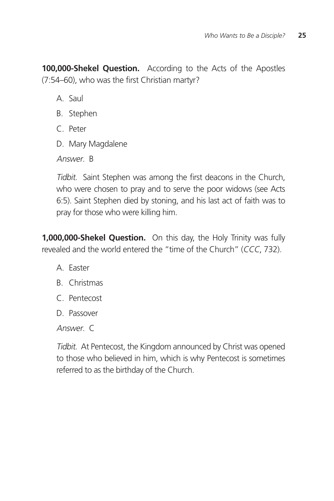**100,000-Shekel Question.** According to the Acts of the Apostles (7:54–60), who was the first Christian martyr?

A. Saul

- B. Stephen
- C. Peter
- D. Mary Magdalene

Answer R

Tidbit. Saint Stephen was among the first deacons in the Church, who were chosen to pray and to serve the poor widows (see Acts 6:5). Saint Stephen died by stoning, and his last act of faith was to pray for those who were killing him.

**1,000,000-Shekel Question.** On this day, the Holy Trinity was fully revealed and the world entered the "time of the Church" (CCC, 732).

- A. Easter
- B. Christmas
- C. Pentecost
- D. Passover

Answer. C

Tidbit. At Pentecost, the Kingdom announced by Christ was opened to those who believed in him, which is why Pentecost is sometimes referred to as the birthday of the Church.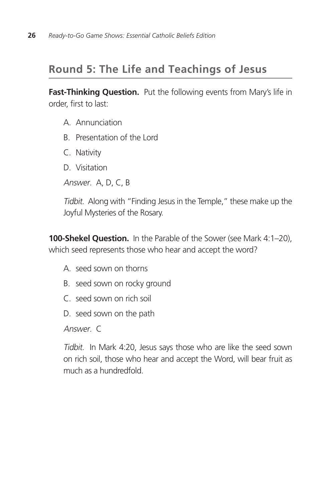### **Round 5: The Life and Teachings of Jesus**

Fast-Thinking Question. Put the following events from Mary's life in order, first to last:

- A. Annunciation
- B. Presentation of the Lord
- C. Nativity
- D. Visitation

Answer. A, D, C, B

Tidbit. Along with "Finding Jesus in the Temple," these make up the Joyful Mysteries of the Rosary.

**100-Shekel Question.** In the Parable of the Sower (see Mark 4:1-20), which seed represents those who hear and accept the word?

- A. seed sown on thorns
- B. seed sown on rocky ground
- C. seed sown on rich soil
- D. seed sown on the path

Answer. C

Tidbit. In Mark 4:20, Jesus says those who are like the seed sown on rich soil, those who hear and accept the Word, will bear fruit as much as a hundredfold.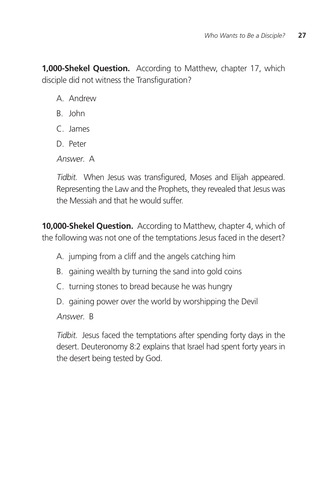**1,000-Shekel Question.** According to Matthew, chapter 17, which disciple did not witness the Transfiguration?

- A. Andrew
- B. John
- C. James
- D. Peter

Answer A

Tidbit. When Jesus was transfigured, Moses and Elijah appeared. Representing the Law and the Prophets, they revealed that Jesus was the Messiah and that he would suffer.

**10,000-Shekel Question.** According to Matthew, chapter 4, which of the following was not one of the temptations Jesus faced in the desert?

- A. jumping from a cliff and the angels catching him
- B. gaining wealth by turning the sand into gold coins
- C. turning stones to bread because he was hungry
- D. gaining power over the world by worshipping the Devil

Answer. B

Tidbit. Jesus faced the temptations after spending forty days in the desert. Deuteronomy 8:2 explains that Israel had spent forty years in the desert being tested by God.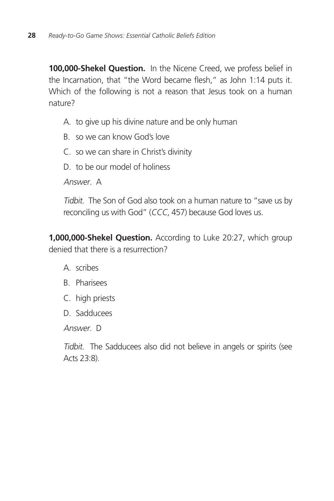**100,000-Shekel Question.** In the Nicene Creed, we profess belief in the Incarnation, that "the Word became flesh," as John 1:14 puts it. Which of the following is not a reason that Jesus took on a human nature?

- A. to give up his divine nature and be only human
- B. so we can know God's love
- C. so we can share in Christ's divinity
- D. to be our model of holiness

Answer. A

Tidbit. The Son of God also took on a human nature to "save us by reconciling us with God" (CCC, 457) because God loves us.

**1,000,000-Shekel Question.** According to Luke 20:27, which group denied that there is a resurrection?

- A. scribes
- B. Pharisees
- C. high priests
- D. Sadducees

Answer. D

Tidbit. The Sadducees also did not believe in angels or spirits (see Acts 23:8).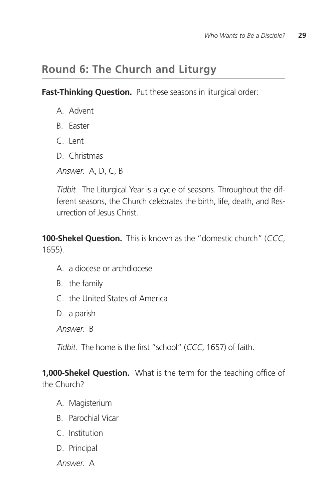### **Round 6: The Church and Liturgy**

**Fast-Thinking Question.** Put these seasons in liturgical order:

- A. Advent
- B. Easter
- C. Lent
- D. Christmas
- Answer. A, D, C, B

Tidbit. The Liturgical Year is a cycle of seasons. Throughout the different seasons, the Church celebrates the birth, life, death, and Resurrection of Jesus Christ.

**100-Shekel Question.** This is known as the "domestic church" (CCC, 1655).

- A. a diocese or archdiocese
- B. the family
- C. the United States of America

D. a parish

Answer. B

Tidbit. The home is the first "school" (CCC, 1657) of faith.

**1,000-Shekel Question.** What is the term for the teaching office of the Church?

- A. Magisterium
- B. Parochial Vicar
- C. Institution
- D. Principal

Answer. A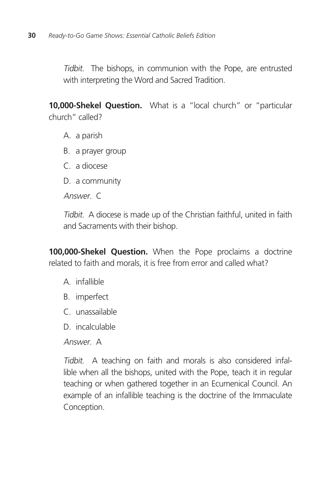Tidbit. The bishops, in communion with the Pope, are entrusted with interpreting the Word and Sacred Tradition.

**10,000-Shekel Question.** What is a "local church" or "particular church" called?

- A. a parish
- B. a prayer group
- C. a diocese
- D. a community

Answer. C

Tidbit. A diocese is made up of the Christian faithful, united in faith and Sacraments with their bishop.

**100,000-Shekel Question.** When the Pope proclaims a doctrine related to faith and morals, it is free from error and called what?

- A. infallible
- B. imperfect
- C. unassailable
- D. incalculable

Answer. A

Tidbit. A teaching on faith and morals is also considered infallible when all the bishops, united with the Pope, teach it in regular teaching or when gathered together in an Ecumenical Council. An example of an infallible teaching is the doctrine of the Immaculate Conception.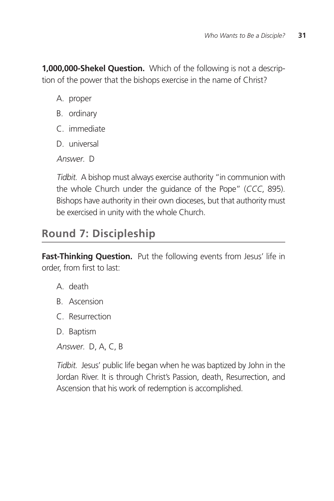**1,000,000-Shekel Question.** Which of the following is not a description of the power that the bishops exercise in the name of Christ?

- A. proper
- B. ordinary
- C. immediate
- D. universal

Answer D

Tidbit. A bishop must always exercise authority "in communion with the whole Church under the guidance of the Pope" (CCC, 895). Bishops have authority in their own dioceses, but that authority must be exercised in unity with the whole Church.

### **Round 7: Discipleship**

**Fast-Thinking Question.** Put the following events from Jesus' life in order, from first to last:

- A. death
- B. Ascension
- C. Resurrection
- D. Baptism

Answer. D, A, C, B

Tidbit. Jesus' public life began when he was baptized by John in the Jordan River. It is through Christ's Passion, death, Resurrection, and Ascension that his work of redemption is accomplished.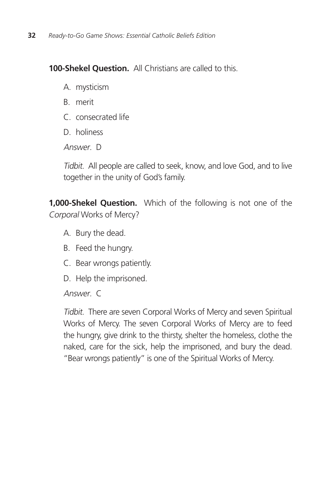**100-Shekel Question.** All Christians are called to this.

- A. mysticism
- B. merit
- C. consecrated life
- D. holiness

Answer. D

Tidbit. All people are called to seek, know, and love God, and to live together in the unity of God's family.

**1,000-Shekel Question.** Which of the following is not one of the Corporal Works of Mercy?

- A. Bury the dead.
- B. Feed the hungry.
- C. Bear wrongs patiently.
- D. Help the imprisoned.

Answer. C

Tidbit. There are seven Corporal Works of Mercy and seven Spiritual Works of Mercy. The seven Corporal Works of Mercy are to feed the hungry, give drink to the thirsty, shelter the homeless, clothe the naked, care for the sick, help the imprisoned, and bury the dead. "Bear wrongs patiently" is one of the Spiritual Works of Mercy.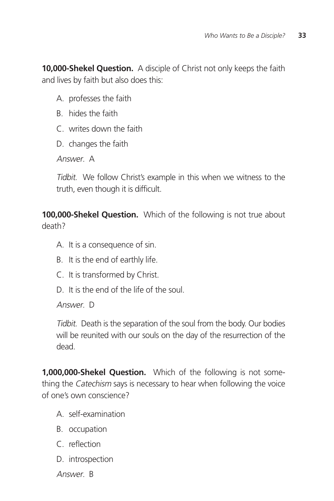**10,000-Shekel Question.** A disciple of Christ not only keeps the faith and lives by faith but also does this:

- A. professes the faith
- B. hides the faith
- C. writes down the faith
- D. changes the faith

Answer A

Tidbit. We follow Christ's example in this when we witness to the truth, even though it is difficult.

**100,000-Shekel Question.** Which of the following is not true about death?

- A. It is a consequence of sin.
- B. It is the end of earthly life.
- C. It is transformed by Christ.
- D. It is the end of the life of the soul.

Answer. D

Tidbit. Death is the separation of the soul from the body. Our bodies will be reunited with our souls on the day of the resurrection of the dead.

**1,000,000-Shekel Question.** Which of the following is not something the Catechism says is necessary to hear when following the voice of one's own conscience?

- A. self-examination
- B. occupation
- C. reflection
- D. introspection

Answer. B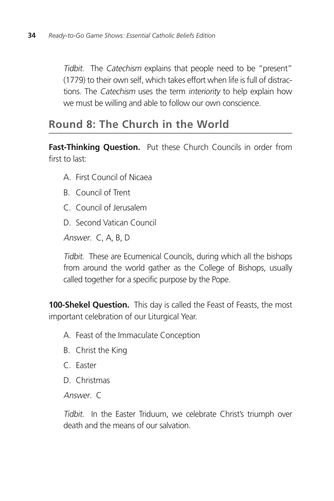Tidbit. The Catechism explains that people need to be "present" (1779) to their own self, which takes effort when life is full of distractions. The Catechism uses the term interiority to help explain how we must be willing and able to follow our own conscience.

### **Round 8: The Church in the World**

**Fast-Thinking Question.** Put these Church Councils in order from first to last:

- A. First Council of Nicaea
- B. Council of Trent
- C. Council of Jerusalem
- D. Second Vatican Council

Answer. C, A, B, D

Tidbit. These are Ecumenical Councils, during which all the bishops from around the world gather as the College of Bishops, usually called together for a specific purpose by the Pope.

**100-Shekel Question.** This day is called the Feast of Feasts, the most important celebration of our Liturgical Year.

- A. Feast of the Immaculate Conception
- B. Christ the King
- C. Easter
- D. Christmas

Answer. C

Tidbit. In the Easter Triduum, we celebrate Christ's triumph over death and the means of our salvation.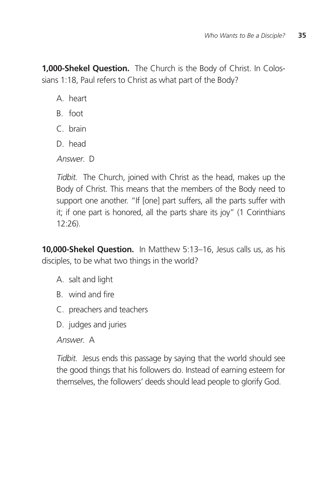**1,000-Shekel Question.** The Church is the Body of Christ. In Colossians 1:18, Paul refers to Christ as what part of the Body?

A. heart

- B. foot
- C. brain
- D. head

Answer D

Tidbit. The Church, joined with Christ as the head, makes up the Body of Christ. This means that the members of the Body need to support one another. "If [one] part suffers, all the parts suffer with it; if one part is honored, all the parts share its joy" (1 Corinthians 12:26).

**10,000-Shekel Question.** In Matthew 5:13–16, Jesus calls us, as his disciples, to be what two things in the world?

- A. salt and light
- B. wind and fire
- C. preachers and teachers
- D. judges and juries

Answer. A

Tidbit. Jesus ends this passage by saying that the world should see the good things that his followers do. Instead of earning esteem for themselves, the followers' deeds should lead people to glorify God.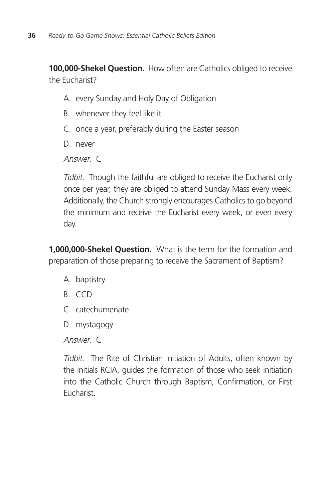**100,000-Shekel Question.** How often are Catholics obliged to receive the Eucharist?

- A. every Sunday and Holy Day of Obligation
- B. whenever they feel like it
- C. once a year, preferably during the Easter season

D. never

Answer C

Tidbit. Though the faithful are obliged to receive the Eucharist only once per year, they are obliged to attend Sunday Mass every week. Additionally, the Church strongly encourages Catholics to go beyond the minimum and receive the Eucharist every week, or even every day.

**1,000,000-Shekel Question.** What is the term for the formation and preparation of those preparing to receive the Sacrament of Baptism?

- A. baptistry
- B. CCD
- C. catechumenate
- D. mystagogy

Answer. C

Tidbit. The Rite of Christian Initiation of Adults, often known by the initials RCIA, guides the formation of those who seek initiation into the Catholic Church through Baptism, Confirmation, or First Eucharist.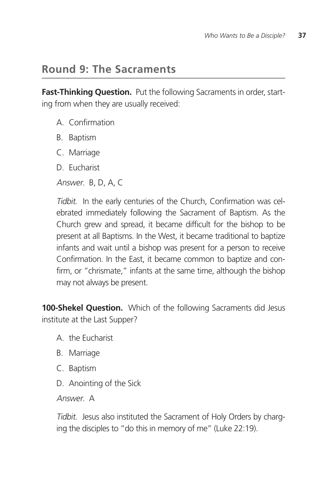### **Round 9: The Sacraments**

**Fast-Thinking Question.** Put the following Sacraments in order, starting from when they are usually received:

- A. Confirmation
- B. Baptism
- C. Marriage
- D. Eucharist

Answer. B, D, A, C

Tidbit. In the early centuries of the Church, Confirmation was celebrated immediately following the Sacrament of Baptism. As the Church grew and spread, it became difficult for the bishop to be present at all Baptisms. In the West, it became traditional to baptize infants and wait until a bishop was present for a person to receive Confirmation. In the East, it became common to baptize and confirm, or "chrismate," infants at the same time, although the bishop may not always be present.

**100-Shekel Question.** Which of the following Sacraments did Jesus institute at the Last Supper?

- A. the Eucharist
- B. Marriage
- C. Baptism
- D. Anointing of the Sick

Answer. A

Tidbit. Jesus also instituted the Sacrament of Holy Orders by charging the disciples to "do this in memory of me" (Luke 22:19).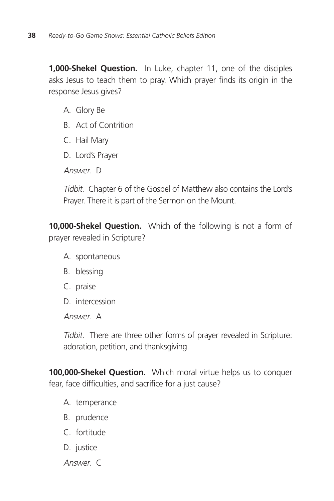**1,000-Shekel Question.** In Luke, chapter 11, one of the disciples asks Jesus to teach them to pray. Which prayer finds its origin in the response Jesus gives?

- A. Glory Be
- B. Act of Contrition
- C. Hail Mary
- D. Lord's Prayer

Answer. D

Tidbit. Chapter 6 of the Gospel of Matthew also contains the Lord's Prayer. There it is part of the Sermon on the Mount.

**10,000-Shekel Question.** Which of the following is not a form of prayer revealed in Scripture?

- A. spontaneous
- B. blessing
- C. praise
- D. intercession

Answer. A

Tidbit. There are three other forms of prayer revealed in Scripture: adoration, petition, and thanksgiving.

**100,000-Shekel Question.** Which moral virtue helps us to conquer fear, face difficulties, and sacrifice for a just cause?

- A. temperance
- B. prudence
- C. fortitude
- D. justice
- Answer. C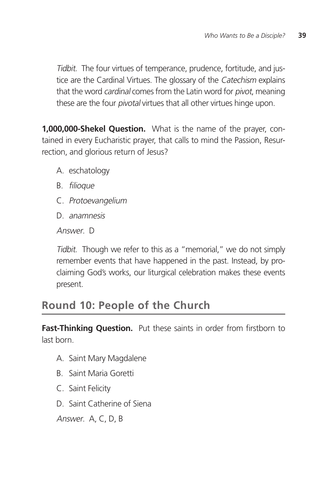Tidbit. The four virtues of temperance, prudence, fortitude, and justice are the Cardinal Virtues. The glossary of the Catechism explains that the word *cardinal* comes from the Latin word for *pivot*, meaning these are the four *pivotal* virtues that all other virtues hinge upon.

**1,000,000-Shekel Question.** What is the name of the prayer, contained in every Eucharistic prayer, that calls to mind the Passion, Resurrection, and glorious return of Jesus?

- A. eschatology
- B. filioque
- C. Protoevangelium
- D. anamnesis

Answer D

Tidbit. Though we refer to this as a "memorial," we do not simply remember events that have happened in the past. Instead, by proclaiming God's works, our liturgical celebration makes these events present.

### **Round 10: People of the Church**

**Fast-Thinking Question.** Put these saints in order from firstborn to last born.

- A. Saint Mary Magdalene
- B. Saint Maria Goretti
- C. Saint Felicity
- D. Saint Catherine of Siena

Answer. A, C, D, B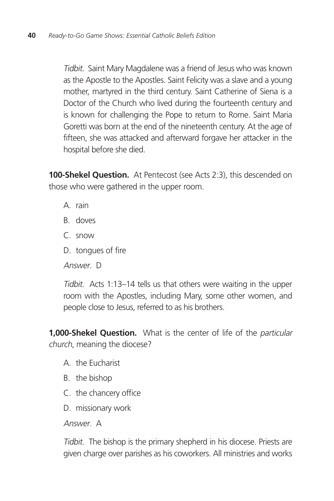Tidbit. Saint Mary Magdalene was a friend of Jesus who was known as the Apostle to the Apostles. Saint Felicity was a slave and a young mother, martyred in the third century. Saint Catherine of Siena is a Doctor of the Church who lived during the fourteenth century and is known for challenging the Pope to return to Rome. Saint Maria Goretti was born at the end of the nineteenth century. At the age of fifteen, she was attacked and afterward forgave her attacker in the hospital before she died.

**100-Shekel Question.** At Pentecost (see Acts 2:3), this descended on those who were gathered in the upper room.

- A. rain
- B. doves
- C. snow
- D. tongues of fire

Answer. D

Tidbit. Acts 1:13–14 tells us that others were waiting in the upper room with the Apostles, including Mary, some other women, and people close to Jesus, referred to as his brothers.

**1,000-Shekel Question.** What is the center of life of the particular church, meaning the diocese?

- A. the Eucharist
- B. the bishop
- C. the chancery office
- D. missionary work

Answer. A

Tidbit. The bishop is the primary shepherd in his diocese. Priests are given charge over parishes as his coworkers. All ministries and works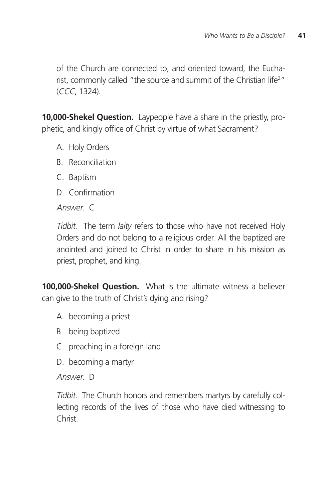of the Church are connected to, and oriented toward, the Eucharist, commonly called "the source and summit of the Christian life<sup>2</sup>" (CCC, 1324).

**10,000-Shekel Question.** Laypeople have a share in the priestly, prophetic, and kingly office of Christ by virtue of what Sacrament?

- A. Holy Orders
- B. Reconciliation
- C. Baptism
- D. Confirmation

Answer. C

Tidbit. The term *laity* refers to those who have not received Holy Orders and do not belong to a religious order. All the baptized are anointed and joined to Christ in order to share in his mission as priest, prophet, and king.

**100,000-Shekel Question.** What is the ultimate witness a believer can give to the truth of Christ's dying and rising?

- A. becoming a priest
- B. being baptized
- C. preaching in a foreign land
- D. becoming a martyr

Answer. D

Tidbit. The Church honors and remembers martyrs by carefully collecting records of the lives of those who have died witnessing to Christ.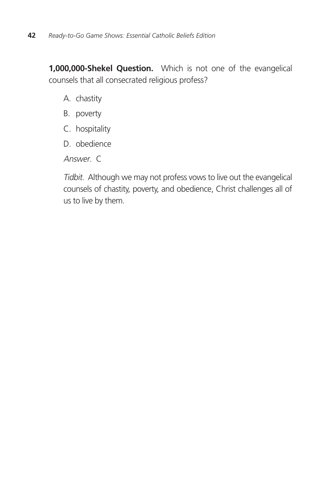**1,000,000-Shekel Question.** Which is not one of the evangelical counsels that all consecrated religious profess?

- A. chastity
- B. poverty
- C. hospitality
- D. obedience

Answer. C

Tidbit. Although we may not profess vows to live out the evangelical counsels of chastity, poverty, and obedience, Christ challenges all of us to live by them.